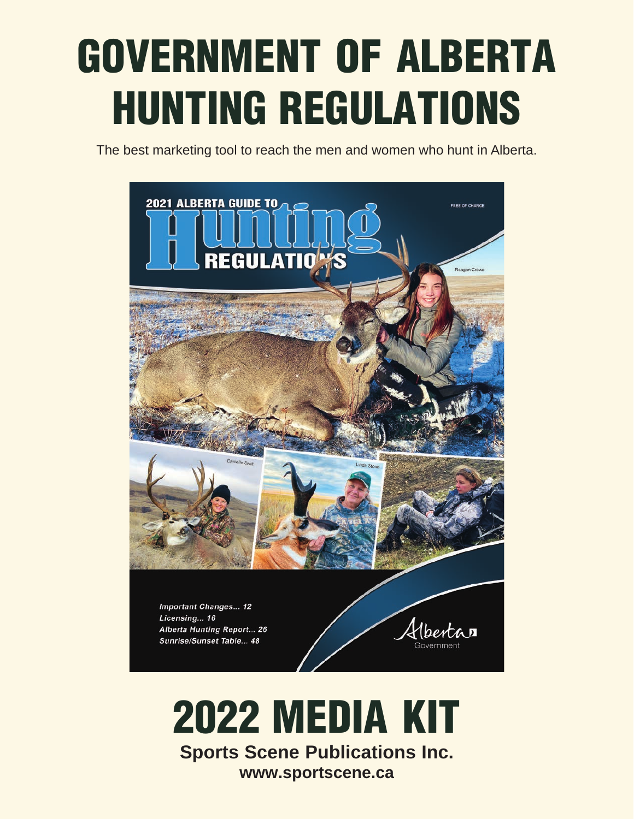# GOVERNMENT OF ALBERTA HUNTING REGULATIONS

The best marketing tool to reach the men and women who hunt in Alberta.



**Sports Scene Publications Inc. www.sportscene.ca**